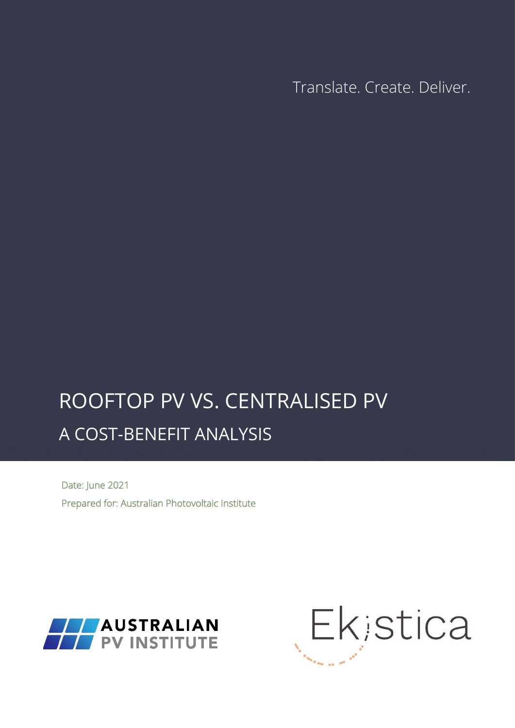Translate. Create. Deliver.

## $P\cap\cap E$  instrumently in  $P$ ROOFTOP PV VS. CENTRALISED PV A COST-BENEFIT ANALYSIS

Date: June 2021 Prepared for: Australian Photovoltaic Institute



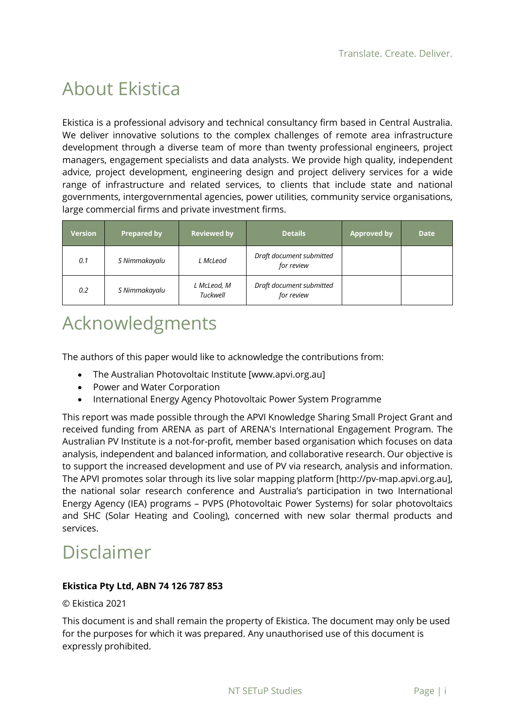## About Ekistica

Ekistica is a professional advisory and technical consultancy firm based in Central Australia. We deliver innovative solutions to the complex challenges of remote area infrastructure development through a diverse team of more than twenty professional engineers, project managers, engagement specialists and data analysts. We provide high quality, independent advice, project development, engineering design and project delivery services for a wide range of infrastructure and related services, to clients that include state and national governments, intergovernmental agencies, power utilities, community service organisations, large commercial firms and private investment firms.

| <b>Version</b> | <b>Prepared by</b> | <b>Reviewed by</b>      | <b>Details</b>                         | <b>Approved by</b> | <b>Date</b> |
|----------------|--------------------|-------------------------|----------------------------------------|--------------------|-------------|
| 0.1            | S Nimmakayalu      | L McLeod                | Draft document submitted<br>for review |                    |             |
| 0.2            | S Nimmakayalu      | L McLeod, M<br>Tuckwell | Draft document submitted<br>for review |                    |             |

## Acknowledgments

The authors of this paper would like to acknowledge the contributions from:

- The Australian Photovoltaic Institute [www.apvi.org.au]
- Power and Water Corporation
- International Energy Agency Photovoltaic Power System Programme

This report was made possible through the APVI Knowledge Sharing Small Project Grant and received funding from ARENA as part of ARENA's International Engagement Program. The Australian PV Institute is a not-for-profit, member based organisation which focuses on data analysis, independent and balanced information, and collaborative research. Our objective is to support the increased development and use of PV via research, analysis and information. The APVI promotes solar through its live solar mapping platform [http://pv-map.apvi.org.au], the national solar research conference and Australia's participation in two International Energy Agency (IEA) programs – PVPS (Photovoltaic Power Systems) for solar photovoltaics and SHC (Solar Heating and Cooling), concerned with new solar thermal products and services.

## Disclaimer

### **Ekistica Pty Ltd, ABN 74 126 787 853**

### © Ekistica 2021

This document is and shall remain the property of Ekistica. The document may only be used for the purposes for which it was prepared. Any unauthorised use of this document is expressly prohibited.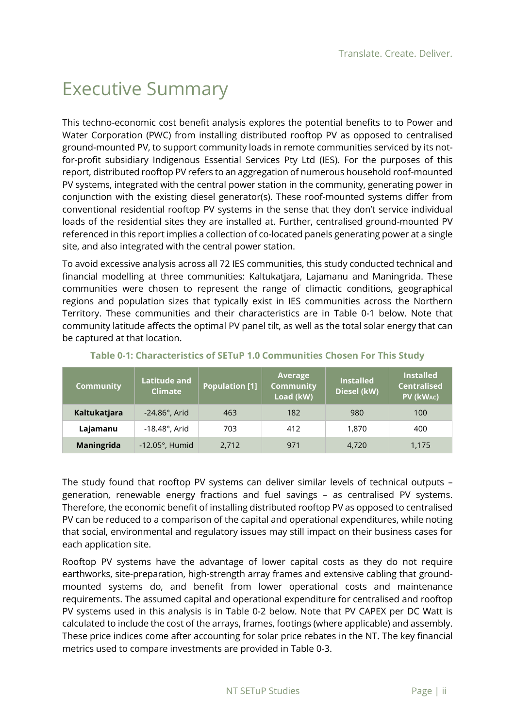## Executive Summary

This techno-economic cost benefit analysis explores the potential benefits to to Power and Water Corporation (PWC) from installing distributed rooftop PV as opposed to centralised ground-mounted PV, to support community loads in remote communities serviced by its notfor-profit subsidiary Indigenous Essential Services Pty Ltd (IES). For the purposes of this report, distributed rooftop PV refers to an aggregation of numerous household roof-mounted PV systems, integrated with the central power station in the community, generating power in conjunction with the existing diesel generator(s). These roof-mounted systems differ from conventional residential rooftop PV systems in the sense that they don't service individual loads of the residential sites they are installed at. Further, centralised ground-mounted PV referenced in this report implies a collection of co-located panels generating power at a single site, and also integrated with the central power station.

To avoid excessive analysis across all 72 IES communities, this study conducted technical and financial modelling at three communities: Kaltukatjara, Lajamanu and Maningrida. These communities were chosen to represent the range of climactic conditions, geographical regions and population sizes that typically exist in IES communities across the Northern Territory. These communities and their characteristics are in [Table 0-1](#page-2-0) below. Note that community latitude affects the optimal PV panel tilt, as well as the total solar energy that can be captured at that location.

<span id="page-2-0"></span>

| <b>Community</b> | <b>Latitude and</b><br><b>Climate</b> | <b>Population [1]</b> | Average<br><b>Community</b><br>Load (kW) | <b>Installed</b><br>Diesel (kW) | <b>Installed</b><br><b>Centralised</b><br>PV (kWAC) |
|------------------|---------------------------------------|-----------------------|------------------------------------------|---------------------------------|-----------------------------------------------------|
| Kaltukatjara     | $-24.86^\circ$ , Arid                 | 463                   | 182                                      | 980                             | 100                                                 |
| Lajamanu         | $-18.48^\circ$ , Arid                 | 703                   | 412                                      | 1,870                           | 400                                                 |
| Maningrida       | $-12.05^\circ$ , Humid                | 2,712                 | 971                                      | 4,720                           | 1,175                                               |

### **Table 0-1: Characteristics of SETuP 1.0 Communities Chosen For This Study**

The study found that rooftop PV systems can deliver similar levels of technical outputs – generation, renewable energy fractions and fuel savings – as centralised PV systems. Therefore, the economic benefit of installing distributed rooftop PV as opposed to centralised PV can be reduced to a comparison of the capital and operational expenditures, while noting that social, environmental and regulatory issues may still impact on their business cases for each application site.

Rooftop PV systems have the advantage of lower capital costs as they do not require earthworks, site-preparation, high-strength array frames and extensive cabling that groundmounted systems do, and benefit from lower operational costs and maintenance requirements. The assumed capital and operational expenditure for centralised and rooftop PV systems used in this analysis is in [Table 0-2](#page-3-0) below. Note that PV CAPEX per DC Watt is calculated to include the cost of the arrays, frames, footings (where applicable) and assembly. These price indices come after accounting for solar price rebates in the NT. The key financial metrics used to compare investments are provided in [Table 0-3.](#page-3-1)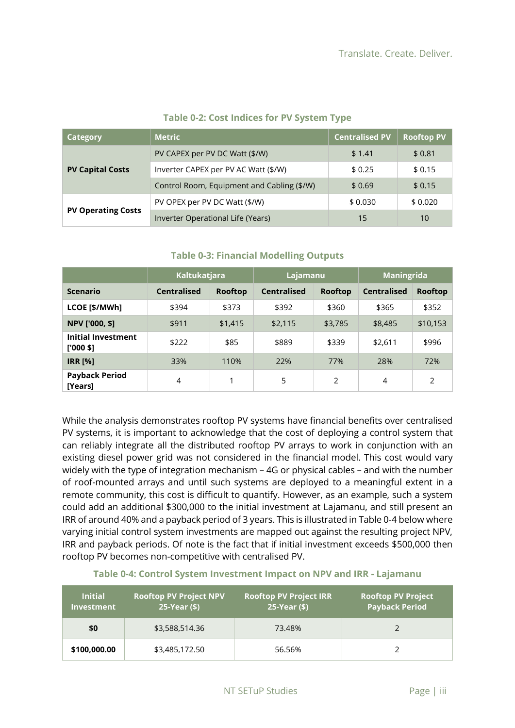<span id="page-3-0"></span>

| <b>Category</b>           | <b>Metric</b>                              | <b>Centralised PV</b> | <b>Rooftop PV</b> |
|---------------------------|--------------------------------------------|-----------------------|-------------------|
|                           | PV CAPEX per PV DC Watt (\$/W)             | \$1.41                | \$0.81            |
| <b>PV Capital Costs</b>   | Inverter CAPEX per PV AC Watt (\$/W)       | \$0.25                | \$0.15            |
|                           | Control Room, Equipment and Cabling (\$/W) | \$0.69                | \$0.15            |
|                           | PV OPEX per PV DC Watt (\$/W)              | \$0.030               | \$0.020           |
| <b>PV Operating Costs</b> | Inverter Operational Life (Years)          | 15                    | 10                |

### **Table 0-2: Cost Indices for PV System Type**

<span id="page-3-1"></span>

|                                         | <b>Kaltukatjara</b><br>Lajamanu |         | <b>Maningrida</b>  |                |                    |          |
|-----------------------------------------|---------------------------------|---------|--------------------|----------------|--------------------|----------|
| <b>Scenario</b>                         | <b>Centralised</b>              | Rooftop | <b>Centralised</b> | <b>Rooftop</b> | <b>Centralised</b> | Rooftop  |
| LCOE [\$/MWh]                           | \$394                           | \$373   | \$392              | \$360          | \$365              | \$352    |
| NPV ['000, \$]                          | \$911                           | \$1,415 | \$2,115            | \$3,785        | \$8,485            | \$10,153 |
| <b>Initial Investment</b><br>$[000$ \$] | \$222                           | \$85    | \$889              | \$339          | \$2,611            | \$996    |
| <b>IRR [%]</b>                          | 33%                             | 110%    | 22%                | 77%            | 28%                | 72%      |
| <b>Payback Period</b><br>[Years]        | 4                               | 1       | 5                  | 2              | 4                  | 2        |

### **Table 0-3: Financial Modelling Outputs**

While the analysis demonstrates rooftop PV systems have financial benefits over centralised PV systems, it is important to acknowledge that the cost of deploying a control system that can reliably integrate all the distributed rooftop PV arrays to work in conjunction with an existing diesel power grid was not considered in the financial model. This cost would vary widely with the type of integration mechanism – 4G or physical cables – and with the number of roof-mounted arrays and until such systems are deployed to a meaningful extent in a remote community, this cost is difficult to quantify. However, as an example, such a system could add an additional \$300,000 to the initial investment at Lajamanu, and still present an IRR of around 40% and a payback period of 3 years. This is illustrated i[n Table 0-4](#page-3-2) below where varying initial control system investments are mapped out against the resulting project NPV, IRR and payback periods. Of note is the fact that if initial investment exceeds \$500,000 then rooftop PV becomes non-competitive with centralised PV.

<span id="page-3-2"></span>

| <b>Initial</b><br><b>Investment</b> | <b>Rooftop PV Project NPV</b><br>25-Year (\$) | <b>Rooftop PV Project IRR</b><br>25-Year (\$) | <b>Rooftop PV Project</b><br><b>Payback Period</b> |
|-------------------------------------|-----------------------------------------------|-----------------------------------------------|----------------------------------------------------|
| \$0                                 | \$3,588,514.36                                | 73.48%                                        |                                                    |
| \$100,000.00                        | \$3,485,172.50                                | 56.56%                                        |                                                    |

#### **Table 0-4: Control System Investment Impact on NPV and IRR - Lajamanu**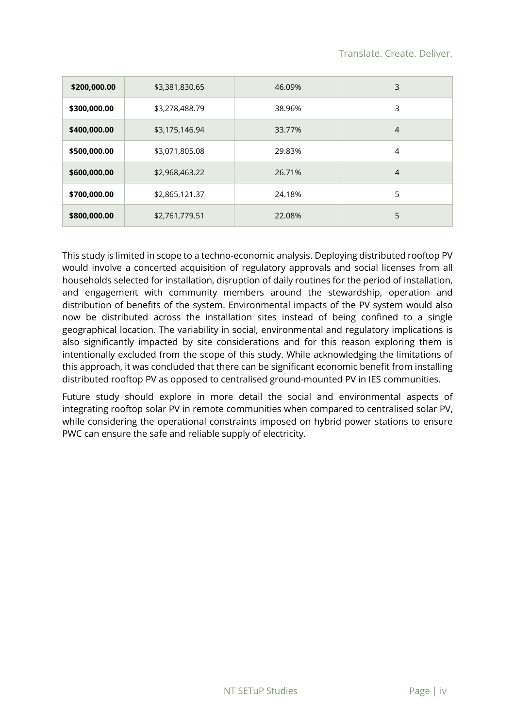| \$200,000.00 | \$3,381,830.65 | 46.09% | 3              |
|--------------|----------------|--------|----------------|
| \$300,000.00 | \$3,278,488.79 | 38.96% | 3              |
| \$400,000.00 | \$3,175,146.94 | 33.77% | $\overline{4}$ |
| \$500,000.00 | \$3,071,805.08 | 29.83% | 4              |
| \$600,000.00 | \$2,968,463.22 | 26.71% | $\overline{4}$ |
| \$700,000.00 | \$2,865,121.37 | 24.18% | 5              |
| \$800,000.00 | \$2,761,779.51 | 22.08% | 5              |

This study is limited in scope to a techno-economic analysis. Deploying distributed rooftop PV would involve a concerted acquisition of regulatory approvals and social licenses from all households selected for installation, disruption of daily routines for the period of installation, and engagement with community members around the stewardship, operation and distribution of benefits of the system. Environmental impacts of the PV system would also now be distributed across the installation sites instead of being confined to a single geographical location. The variability in social, environmental and regulatory implications is also significantly impacted by site considerations and for this reason exploring them is intentionally excluded from the scope of this study. While acknowledging the limitations of this approach, it was concluded that there can be significant economic benefit from installing distributed rooftop PV as opposed to centralised ground-mounted PV in IES communities.

Future study should explore in more detail the social and environmental aspects of integrating rooftop solar PV in remote communities when compared to centralised solar PV, while considering the operational constraints imposed on hybrid power stations to ensure PWC can ensure the safe and reliable supply of electricity.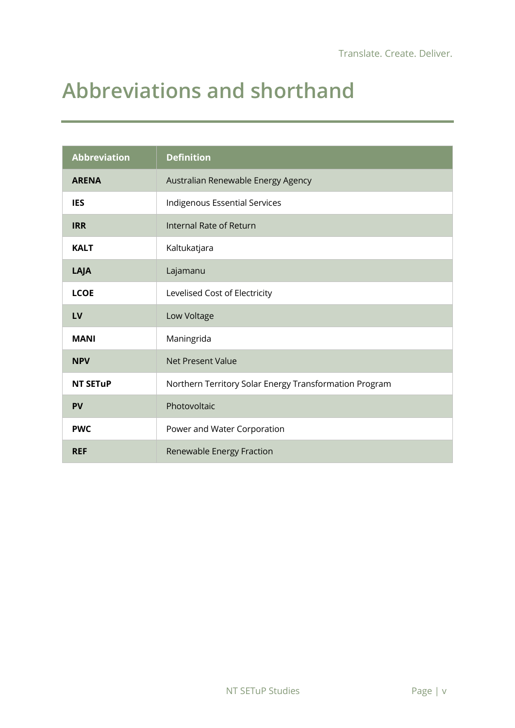# <span id="page-5-0"></span>**Abbreviations and shorthand**

| <b>Abbreviation</b> | <b>Definition</b>                                      |
|---------------------|--------------------------------------------------------|
| <b>ARENA</b>        | Australian Renewable Energy Agency                     |
| <b>IES</b>          | Indigenous Essential Services                          |
| <b>IRR</b>          | Internal Rate of Return                                |
| <b>KALT</b>         | Kaltukatjara                                           |
| LAJA                | Lajamanu                                               |
| <b>LCOE</b>         | Levelised Cost of Electricity                          |
| LV                  | Low Voltage                                            |
| <b>MANI</b>         | Maningrida                                             |
| <b>NPV</b>          | <b>Net Present Value</b>                               |
| <b>NT SETUP</b>     | Northern Territory Solar Energy Transformation Program |
| <b>PV</b>           | Photovoltaic                                           |
| <b>PWC</b>          | Power and Water Corporation                            |
| <b>REF</b>          | Renewable Energy Fraction                              |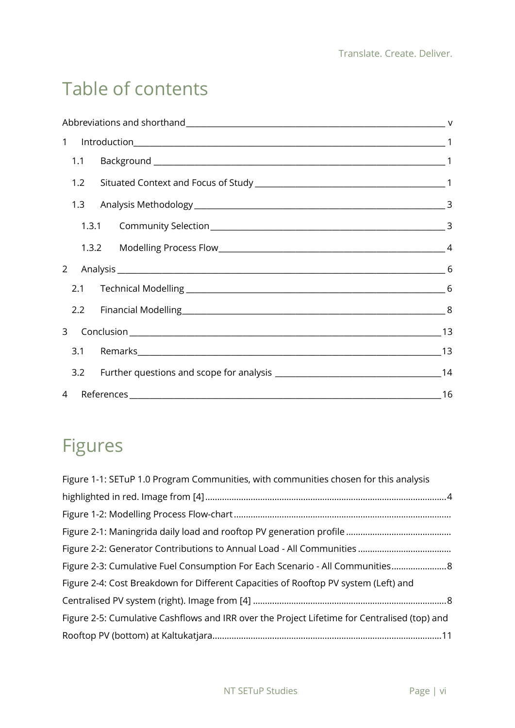## Table of contents

|     | 2.2 Financial Modelling 8 |  |
|-----|---------------------------|--|
|     |                           |  |
|     |                           |  |
| 3.2 |                           |  |
|     | 4 References 16           |  |

## Figures

| Figure 1-1: SETuP 1.0 Program Communities, with communities chosen for this analysis         |
|----------------------------------------------------------------------------------------------|
|                                                                                              |
|                                                                                              |
|                                                                                              |
|                                                                                              |
| Figure 2-3: Cumulative Fuel Consumption For Each Scenario - All Communities 8                |
| Figure 2-4: Cost Breakdown for Different Capacities of Rooftop PV system (Left) and          |
|                                                                                              |
| Figure 2-5: Cumulative Cashflows and IRR over the Project Lifetime for Centralised (top) and |
|                                                                                              |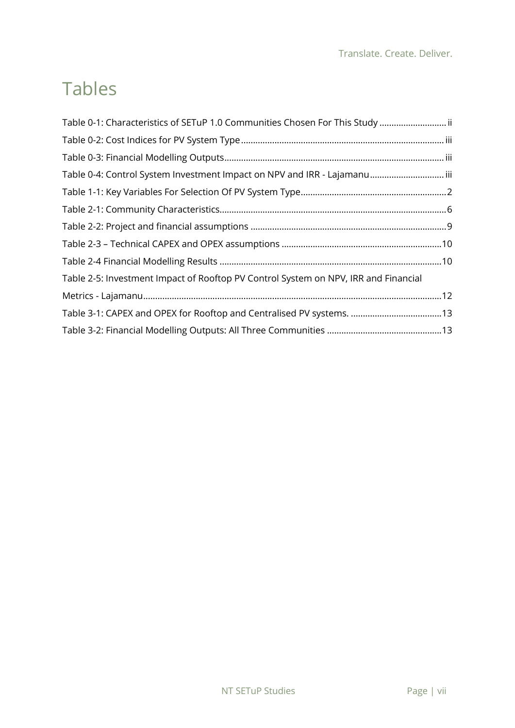## Tables

| Table 0-1: Characteristics of SETuP 1.0 Communities Chosen For This Study  ii       |  |
|-------------------------------------------------------------------------------------|--|
|                                                                                     |  |
|                                                                                     |  |
| Table 0-4: Control System Investment Impact on NPV and IRR - Lajamanuiii            |  |
|                                                                                     |  |
|                                                                                     |  |
|                                                                                     |  |
|                                                                                     |  |
|                                                                                     |  |
| Table 2-5: Investment Impact of Rooftop PV Control System on NPV, IRR and Financial |  |
|                                                                                     |  |
| Table 3-1: CAPEX and OPEX for Rooftop and Centralised PV systems. 13                |  |
|                                                                                     |  |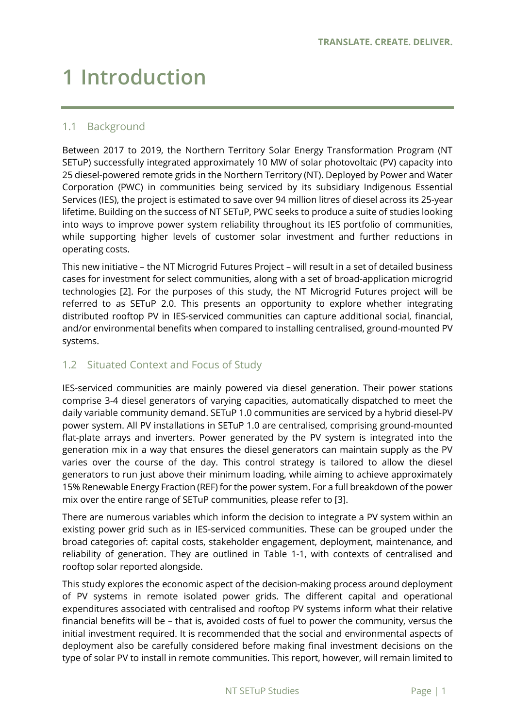# <span id="page-8-0"></span>**1 Introduction**

### <span id="page-8-1"></span>1.1 Background

Between 2017 to 2019, the Northern Territory Solar Energy Transformation Program (NT SETuP) successfully integrated approximately 10 MW of solar photovoltaic (PV) capacity into 25 diesel-powered remote grids in the Northern Territory (NT). Deployed by Power and Water Corporation (PWC) in communities being serviced by its subsidiary Indigenous Essential Services (IES), the project is estimated to save over 94 million litres of diesel across its 25-year lifetime. Building on the success of NT SETuP, PWC seeks to produce a suite of studies looking into ways to improve power system reliability throughout its IES portfolio of communities, while supporting higher levels of customer solar investment and further reductions in operating costs.

This new initiative – the NT Microgrid Futures Project – will result in a set of detailed business cases for investment for select communities, along with a set of broad-application microgrid technologies [2]. For the purposes of this study, the NT Microgrid Futures project will be referred to as SETuP 2.0. This presents an opportunity to explore whether integrating distributed rooftop PV in IES-serviced communities can capture additional social, financial, and/or environmental benefits when compared to installing centralised, ground-mounted PV systems.

### <span id="page-8-2"></span>1.2 Situated Context and Focus of Study

IES-serviced communities are mainly powered via diesel generation. Their power stations comprise 3-4 diesel generators of varying capacities, automatically dispatched to meet the daily variable community demand. SETuP 1.0 communities are serviced by a hybrid diesel-PV power system. All PV installations in SETuP 1.0 are centralised, comprising ground-mounted flat-plate arrays and inverters. Power generated by the PV system is integrated into the generation mix in a way that ensures the diesel generators can maintain supply as the PV varies over the course of the day. This control strategy is tailored to allow the diesel generators to run just above their minimum loading, while aiming to achieve approximately 15% Renewable Energy Fraction (REF) for the power system. For a full breakdown of the power mix over the entire range of SETuP communities, please refer to [3].

There are numerous variables which inform the decision to integrate a PV system within an existing power grid such as in IES-serviced communities. These can be grouped under the broad categories of: capital costs, stakeholder engagement, deployment, maintenance, and reliability of generation. They are outlined in [Table 1-1,](#page-9-0) with contexts of centralised and rooftop solar reported alongside.

This study explores the economic aspect of the decision-making process around deployment of PV systems in remote isolated power grids. The different capital and operational expenditures associated with centralised and rooftop PV systems inform what their relative financial benefits will be – that is, avoided costs of fuel to power the community, versus the initial investment required. It is recommended that the social and environmental aspects of deployment also be carefully considered before making final investment decisions on the type of solar PV to install in remote communities. This report, however, will remain limited to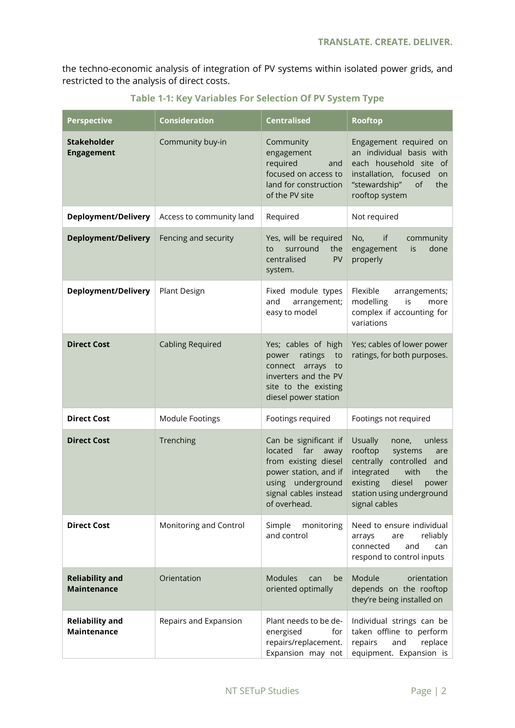the techno-economic analysis of integration of PV systems within isolated power grids, and restricted to the analysis of direct costs.

<span id="page-9-0"></span>

| <b>Perspective</b>                           | <b>Consideration</b>     | <b>Centralised</b>                                                                                                                                          | <b>Rooftop</b>                                                                                                                                                                                       |
|----------------------------------------------|--------------------------|-------------------------------------------------------------------------------------------------------------------------------------------------------------|------------------------------------------------------------------------------------------------------------------------------------------------------------------------------------------------------|
| <b>Stakeholder</b><br><b>Engagement</b>      | Community buy-in         | Community<br>engagement<br>required<br>and<br>focused on access to<br>land for construction<br>of the PV site                                               | Engagement required on<br>an individual basis with<br>each household site of<br>installation, focused<br>on<br>"stewardship"<br>of<br>the<br>rooftop system                                          |
| <b>Deployment/Delivery</b>                   | Access to community land | Required                                                                                                                                                    | Not required                                                                                                                                                                                         |
| <b>Deployment/Delivery</b>                   | Fencing and security     | Yes, will be required<br>surround<br>the<br>to<br>centralised<br>PV<br>system.                                                                              | No,<br>if<br>community<br>done<br>engagement<br>is<br>properly                                                                                                                                       |
| <b>Deployment/Delivery</b>                   | Plant Design             | Fixed module types<br>and<br>arrangement;<br>easy to model                                                                                                  | Flexible<br>arrangements;<br>modelling<br>is<br>more<br>complex if accounting for<br>variations                                                                                                      |
| <b>Direct Cost</b>                           | <b>Cabling Required</b>  | Yes; cables of high<br>ratings<br>power<br>to<br>connect arrays<br>to<br>inverters and the PV<br>site to the existing<br>diesel power station               | Yes; cables of lower power<br>ratings, for both purposes.                                                                                                                                            |
| <b>Direct Cost</b>                           | Module Footings          | Footings required                                                                                                                                           | Footings not required                                                                                                                                                                                |
| <b>Direct Cost</b>                           | Trenching                | Can be significant if<br>located far<br>away<br>from existing diesel<br>power station, and if<br>using underground<br>signal cables instead<br>of overhead. | <b>Usually</b><br>unless<br>none,<br>rooftop<br>systems<br>are<br>centrally controlled and<br>integrated<br>the<br>with<br>existing<br>diesel<br>power<br>station using underground<br>signal cables |
| <b>Direct Cost</b>                           | Monitoring and Control   | Simple<br>monitoring<br>and control                                                                                                                         | Need to ensure individual<br>reliably<br>arrays<br>are<br>connected<br>and<br>can<br>respond to control inputs                                                                                       |
| <b>Reliability and</b><br><b>Maintenance</b> | Orientation              | <b>Modules</b><br>be<br>can<br>oriented optimally                                                                                                           | Module<br>orientation<br>depends on the rooftop<br>they're being installed on                                                                                                                        |
| <b>Reliability and</b><br><b>Maintenance</b> | Repairs and Expansion    | Plant needs to be de-<br>energised<br>for<br>repairs/replacement.<br>Expansion may not                                                                      | Individual strings can be<br>taken offline to perform<br>replace<br>repairs<br>and<br>equipment. Expansion is                                                                                        |

**Table 1-1: Key Variables For Selection Of PV System Type**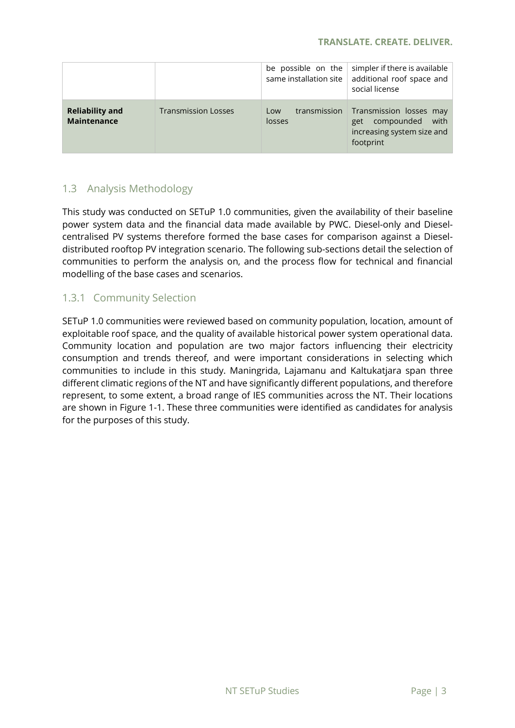#### **TRANSLATE. CREATE. DELIVER.**

|                                       |                            | be possible on the<br>same installation site | simpler if there is available<br>additional roof space and<br>social license                    |
|---------------------------------------|----------------------------|----------------------------------------------|-------------------------------------------------------------------------------------------------|
| <b>Reliability and</b><br>Maintenance | <b>Transmission Losses</b> | transmission<br>Low<br>losses                | Transmission losses may<br>compounded<br>with<br>get<br>increasing system size and<br>footprint |

## <span id="page-10-0"></span>1.3 Analysis Methodology

This study was conducted on SETuP 1.0 communities, given the availability of their baseline power system data and the financial data made available by PWC. Diesel-only and Dieselcentralised PV systems therefore formed the base cases for comparison against a Dieseldistributed rooftop PV integration scenario. The following sub-sections detail the selection of communities to perform the analysis on, and the process flow for technical and financial modelling of the base cases and scenarios.

## <span id="page-10-1"></span>1.3.1 Community Selection

SETuP 1.0 communities were reviewed based on community population, location, amount of exploitable roof space, and the quality of available historical power system operational data. Community location and population are two major factors influencing their electricity consumption and trends thereof, and were important considerations in selecting which communities to include in this study. Maningrida, Lajamanu and Kaltukatjara span three different climatic regions of the NT and have significantly different populations, and therefore represent, to some extent, a broad range of IES communities across the NT. Their locations are shown in [Figure 1-1.](#page-11-1) These three communities were identified as candidates for analysis for the purposes of this study.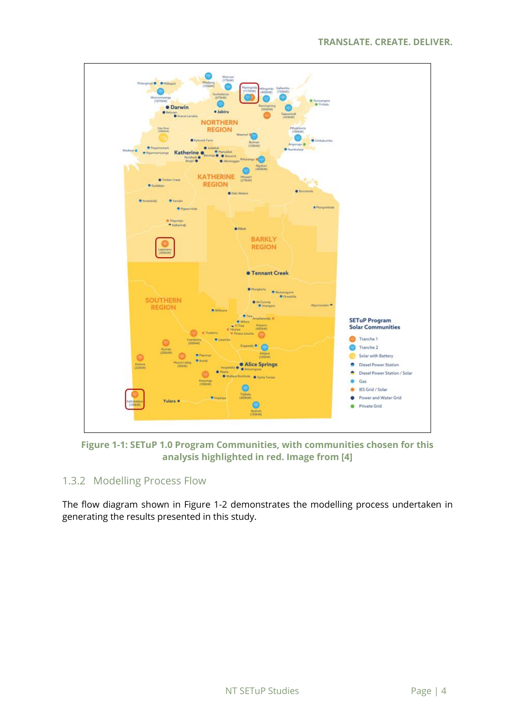

<span id="page-11-1"></span>**Figure 1-1: SETuP 1.0 Program Communities, with communities chosen for this analysis highlighted in red. Image from [4]**

## <span id="page-11-0"></span>1.3.2 Modelling Process Flow

The flow diagram shown in [Figure 1-2](#page-12-0) demonstrates the modelling process undertaken in generating the results presented in this study.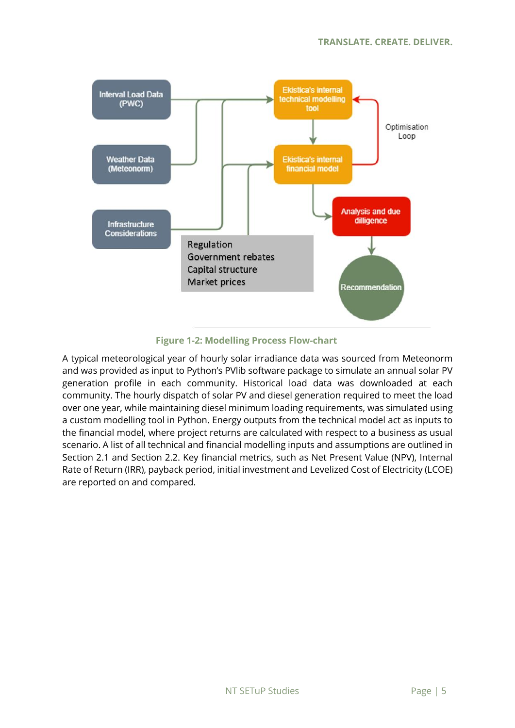

#### **Figure 1-2: Modelling Process Flow-chart**

<span id="page-12-0"></span>A typical meteorological year of hourly solar irradiance data was sourced from Meteonorm and was provided as input to Python's PVlib software package to simulate an annual solar PV generation profile in each community. Historical load data was downloaded at each community. The hourly dispatch of solar PV and diesel generation required to meet the load over one year, while maintaining diesel minimum loading requirements, was simulated using a custom modelling tool in Python. Energy outputs from the technical model act as inputs to the financial model, where project returns are calculated with respect to a business as usual scenario. A list of all technical and financial modelling inputs and assumptions are outlined in Section [2.1](#page-13-1) and Section [2.2.](#page-15-0) Key financial metrics, such as Net Present Value (NPV), Internal Rate of Return (IRR), payback period, initial investment and Levelized Cost of Electricity (LCOE) are reported on and compared.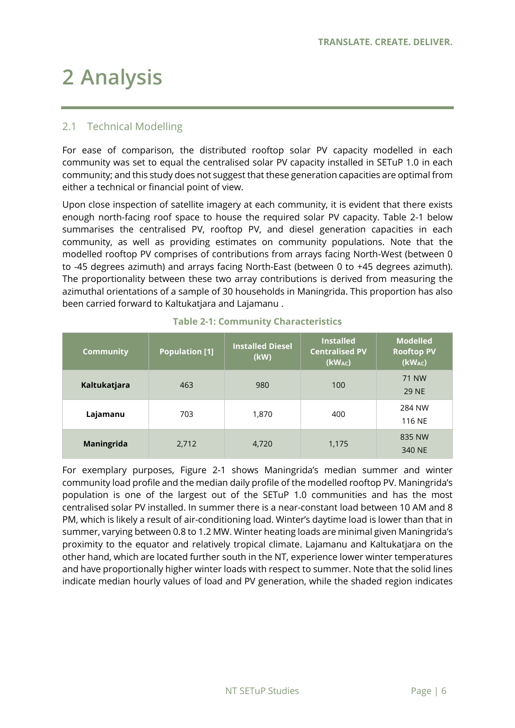# <span id="page-13-0"></span>**2 Analysis**

## <span id="page-13-1"></span>2.1 Technical Modelling

For ease of comparison, the distributed rooftop solar PV capacity modelled in each community was set to equal the centralised solar PV capacity installed in SETuP 1.0 in each community; and this study does not suggest that these generation capacities are optimal from either a technical or financial point of view.

Upon close inspection of satellite imagery at each community, it is evident that there exists enough north-facing roof space to house the required solar PV capacity. [Table 2-1](#page-13-2) below summarises the centralised PV, rooftop PV, and diesel generation capacities in each community, as well as providing estimates on community populations. Note that the modelled rooftop PV comprises of contributions from arrays facing North-West (between 0 to -45 degrees azimuth) and arrays facing North-East (between 0 to +45 degrees azimuth). The proportionality between these two array contributions is derived from measuring the azimuthal orientations of a sample of 30 households in Maningrida. This proportion has also been carried forward to Kaltukatjara and Lajamanu .

<span id="page-13-2"></span>

| <b>Community</b> | <b>Population [1]</b> | <b>Installed Diesel</b><br>(kW) | <b>Installed</b><br><b>Centralised PV</b><br>(kWAC) | <b>Modelled</b><br><b>Rooftop PV</b><br>$(kW_{AC})$ |
|------------------|-----------------------|---------------------------------|-----------------------------------------------------|-----------------------------------------------------|
| Kaltukatjara     | 463                   | 980                             | 100                                                 | <b>71 NW</b><br><b>29 NE</b>                        |
| Lajamanu         | 703                   | 1,870                           | 400                                                 | 284 NW<br>116 NE                                    |
| Maningrida       | 2,712                 | 4,720                           | 1,175                                               | 835 NW<br>340 NE                                    |

#### **Table 2-1: Community Characteristics**

For exemplary purposes, [Figure 2-1](#page-14-0) shows Maningrida's median summer and winter community load profile and the median daily profile of the modelled rooftop PV. Maningrida's population is one of the largest out of the SETuP 1.0 communities and has the most centralised solar PV installed. In summer there is a near-constant load between 10 AM and 8 PM, which is likely a result of air-conditioning load. Winter's daytime load is lower than that in summer, varying between 0.8 to 1.2 MW. Winter heating loads are minimal given Maningrida's proximity to the equator and relatively tropical climate. Lajamanu and Kaltukatjara on the other hand, which are located further south in the NT, experience lower winter temperatures and have proportionally higher winter loads with respect to summer. Note that the solid lines indicate median hourly values of load and PV generation, while the shaded region indicates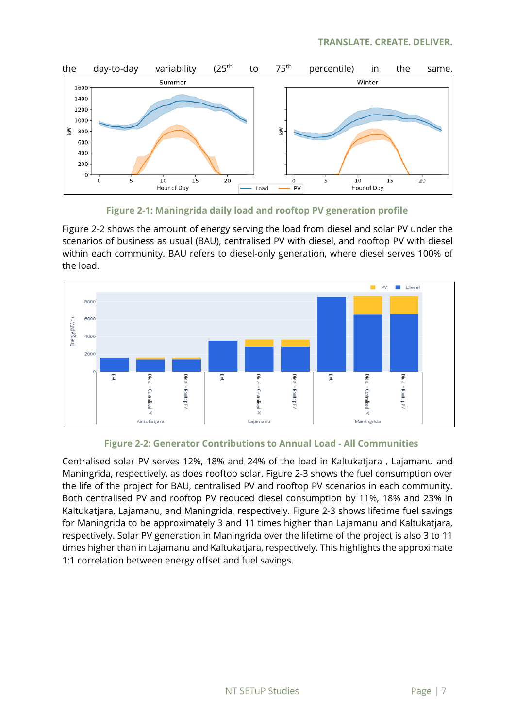



<span id="page-14-0"></span>[Figure 2-2](#page-14-1) shows the amount of energy serving the load from diesel and solar PV under the scenarios of business as usual (BAU), centralised PV with diesel, and rooftop PV with diesel within each community. BAU refers to diesel-only generation, where diesel serves 100% of the load.



#### **Figure 2-2: Generator Contributions to Annual Load - All Communities**

<span id="page-14-1"></span>Centralised solar PV serves 12%, 18% and 24% of the load in Kaltukatjara , Lajamanu and Maningrida, respectively, as does rooftop solar. [Figure 2-3](#page-15-1) shows the fuel consumption over the life of the project for BAU, centralised PV and rooftop PV scenarios in each community. Both centralised PV and rooftop PV reduced diesel consumption by 11%, 18% and 23% in Kaltukatjara, Lajamanu, and Maningrida, respectively. [Figure 2-3](#page-15-1) shows lifetime fuel savings for Maningrida to be approximately 3 and 11 times higher than Lajamanu and Kaltukatjara, respectively. Solar PV generation in Maningrida over the lifetime of the project is also 3 to 11 times higher than in Lajamanu and Kaltukatjara, respectively. This highlights the approximate 1:1 correlation between energy offset and fuel savings.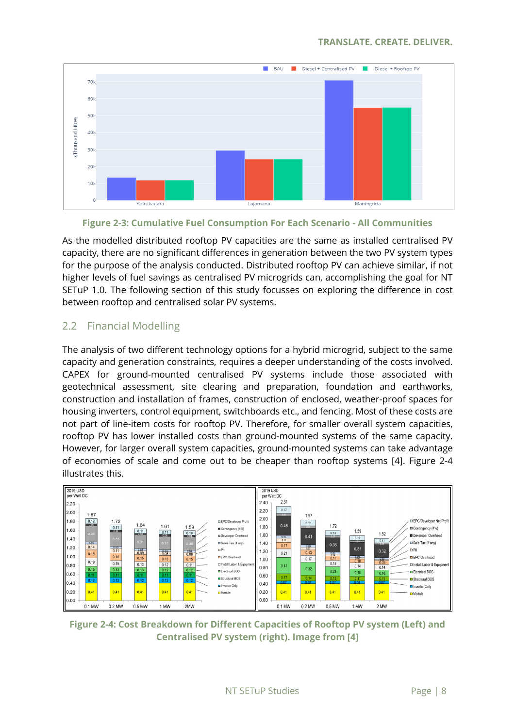

### **Figure 2-3: Cumulative Fuel Consumption For Each Scenario - All Communities**

<span id="page-15-1"></span>As the modelled distributed rooftop PV capacities are the same as installed centralised PV capacity, there are no significant differences in generation between the two PV system types for the purpose of the analysis conducted. Distributed rooftop PV can achieve similar, if not higher levels of fuel savings as centralised PV microgrids can, accomplishing the goal for NT SETuP 1.0. The following section of this study focusses on exploring the difference in cost between rooftop and centralised solar PV systems.

## <span id="page-15-0"></span>2.2 Financial Modelling

The analysis of two different technology options for a hybrid microgrid, subject to the same capacity and generation constraints, requires a deeper understanding of the costs involved. CAPEX for ground-mounted centralised PV systems include those associated with geotechnical assessment, site clearing and preparation, foundation and earthworks, construction and installation of frames, construction of enclosed, weather-proof spaces for housing inverters, control equipment, switchboards etc., and fencing. Most of these costs are not part of line-item costs for rooftop PV. Therefore, for smaller overall system capacities, rooftop PV has lower installed costs than ground-mounted systems of the same capacity. However, for larger overall system capacities, ground-mounted systems can take advantage of economies of scale and come out to be cheaper than rooftop systems [4]. [Figure 2-4](#page-15-2) illustrates this.



<span id="page-15-2"></span>**Figure 2-4: Cost Breakdown for Different Capacities of Rooftop PV system (Left) and Centralised PV system (right). Image from [4]**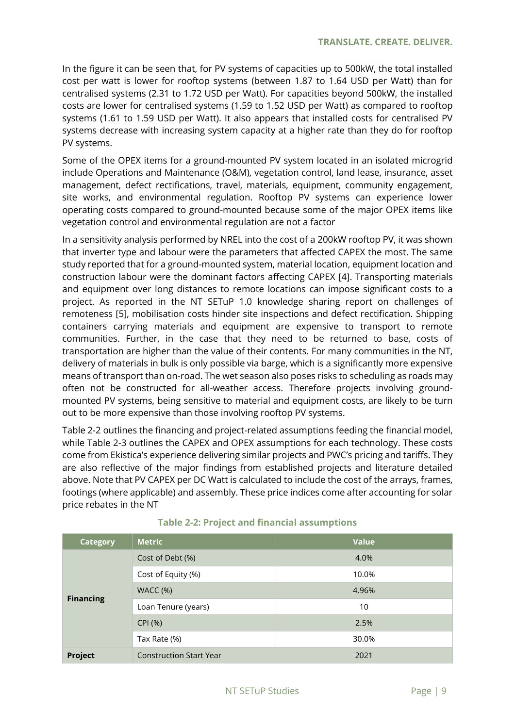In the figure it can be seen that, for PV systems of capacities up to 500kW, the total installed cost per watt is lower for rooftop systems (between 1.87 to 1.64 USD per Watt) than for centralised systems (2.31 to 1.72 USD per Watt). For capacities beyond 500kW, the installed costs are lower for centralised systems (1.59 to 1.52 USD per Watt) as compared to rooftop systems (1.61 to 1.59 USD per Watt). It also appears that installed costs for centralised PV systems decrease with increasing system capacity at a higher rate than they do for rooftop PV systems.

Some of the OPEX items for a ground-mounted PV system located in an isolated microgrid include Operations and Maintenance (O&M), vegetation control, land lease, insurance, asset management, defect rectifications, travel, materials, equipment, community engagement, site works, and environmental regulation. Rooftop PV systems can experience lower operating costs compared to ground-mounted because some of the major OPEX items like vegetation control and environmental regulation are not a factor

In a sensitivity analysis performed by NREL into the cost of a 200kW rooftop PV, it was shown that inverter type and labour were the parameters that affected CAPEX the most. The same study reported that for a ground-mounted system, material location, equipment location and construction labour were the dominant factors affecting CAPEX [4]. Transporting materials and equipment over long distances to remote locations can impose significant costs to a project. As reported in the NT SETuP 1.0 knowledge sharing report on challenges of remoteness [5], mobilisation costs hinder site inspections and defect rectification. Shipping containers carrying materials and equipment are expensive to transport to remote communities. Further, in the case that they need to be returned to base, costs of transportation are higher than the value of their contents. For many communities in the NT, delivery of materials in bulk is only possible via barge, which is a significantly more expensive means of transport than on-road. The wet season also poses risks to scheduling as roads may often not be constructed for all-weather access. Therefore projects involving groundmounted PV systems, being sensitive to material and equipment costs, are likely to be turn out to be more expensive than those involving rooftop PV systems.

[Table 2-2](#page-16-0) outlines the financing and project-related assumptions feeding the financial model, while [Table 2-3](#page-17-0) outlines the CAPEX and OPEX assumptions for each technology. These costs come from Ekistica's experience delivering similar projects and PWC's pricing and tariffs. They are also reflective of the major findings from established projects and literature detailed above. Note that PV CAPEX per DC Watt is calculated to include the cost of the arrays, frames, footings (where applicable) and assembly. These price indices come after accounting for solar price rebates in the NT

<span id="page-16-0"></span>

| <b>Category</b>  | <b>Metric</b>                  | <b>Value</b> |
|------------------|--------------------------------|--------------|
|                  | Cost of Debt (%)               | 4.0%         |
|                  | Cost of Equity (%)             | 10.0%        |
|                  | WACC(%)                        | 4.96%        |
| <b>Financing</b> | Loan Tenure (years)            | 10           |
|                  | CPI (%)                        | 2.5%         |
|                  | Tax Rate (%)                   | 30.0%        |
| Project          | <b>Construction Start Year</b> | 2021         |

### **Table 2-2: Project and financial assumptions**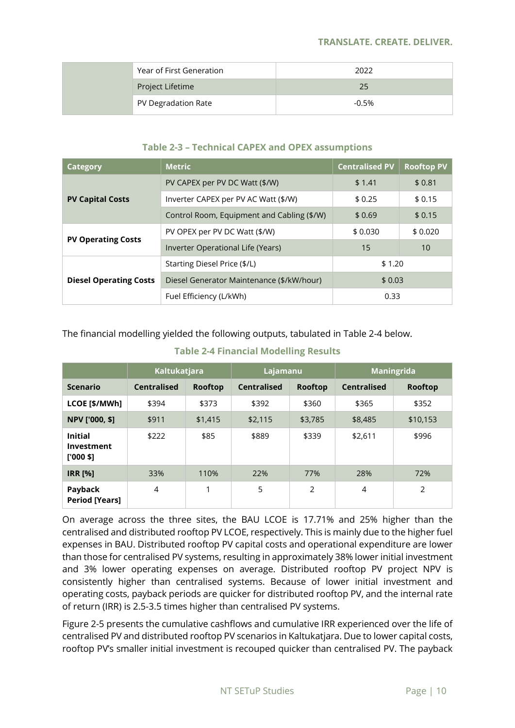#### **TRANSLATE. CREATE. DELIVER.**

| Year of First Generation | 2022    |
|--------------------------|---------|
| Project Lifetime         | 25      |
| PV Degradation Rate      | $-0.5%$ |

### **Table 2-3 – Technical CAPEX and OPEX assumptions**

<span id="page-17-0"></span>

| Category                      | <b>Metric</b>                              | <b>Centralised PV</b> | <b>Rooftop PV</b> |
|-------------------------------|--------------------------------------------|-----------------------|-------------------|
|                               | PV CAPEX per PV DC Watt (\$/W)             | \$1,41                | \$0.81            |
| <b>PV Capital Costs</b>       | Inverter CAPEX per PV AC Watt (\$/W)       | \$0.25                | \$0.15            |
|                               | Control Room, Equipment and Cabling (\$/W) | \$0.69                | \$0.15            |
| <b>PV Operating Costs</b>     | PV OPEX per PV DC Watt (\$/W)              | \$0.030               | \$0.020           |
|                               | Inverter Operational Life (Years)          | 15                    | 10                |
|                               | Starting Diesel Price (\$/L)               | \$1.20                |                   |
| <b>Diesel Operating Costs</b> | Diesel Generator Maintenance (\$/kW/hour)  | \$0.03                |                   |
|                               | Fuel Efficiency (L/kWh)                    | 0.33                  |                   |

The financial modelling yielded the following outputs, tabulated in [Table 2-4](#page-17-1) below.

<span id="page-17-1"></span>

|                                             | <b>Kaltukatjara</b> |                | Lajamanu           |         | Maningrida         |                |
|---------------------------------------------|---------------------|----------------|--------------------|---------|--------------------|----------------|
| <b>Scenario</b>                             | <b>Centralised</b>  | <b>Rooftop</b> | <b>Centralised</b> | Rooftop | <b>Centralised</b> | <b>Rooftop</b> |
| LCOE [\$/MWh]                               | \$394               | \$373          | \$392              | \$360   | \$365              | \$352          |
| NPV ['000, \$]                              | \$911               | \$1,415        | \$2,115            | \$3,785 | \$8,485            | \$10,153       |
| <b>Initial</b><br>Investment<br>$[1000$ \$1 | \$222               | \$85           | \$889              | \$339   | \$2,611            | \$996          |
| <b>IRR [%]</b>                              | 33%                 | 110%           | 22%                | 77%     | 28%                | 72%            |
| Payback<br><b>Period [Years]</b>            | 4                   |                | 5                  | 2       | 4                  | 2              |

### **Table 2-4 Financial Modelling Results**

On average across the three sites, the BAU LCOE is 17.71% and 25% higher than the centralised and distributed rooftop PV LCOE, respectively. This is mainly due to the higher fuel expenses in BAU. Distributed rooftop PV capital costs and operational expenditure are lower than those for centralised PV systems, resulting in approximately 38% lower initial investment and 3% lower operating expenses on average. Distributed rooftop PV project NPV is consistently higher than centralised systems. Because of lower initial investment and operating costs, payback periods are quicker for distributed rooftop PV, and the internal rate of return (IRR) is 2.5-3.5 times higher than centralised PV systems.

[Figure 2-5](#page-18-0) presents the cumulative cashflows and cumulative IRR experienced over the life of centralised PV and distributed rooftop PV scenarios in Kaltukatjara. Due to lower capital costs, rooftop PV's smaller initial investment is recouped quicker than centralised PV. The payback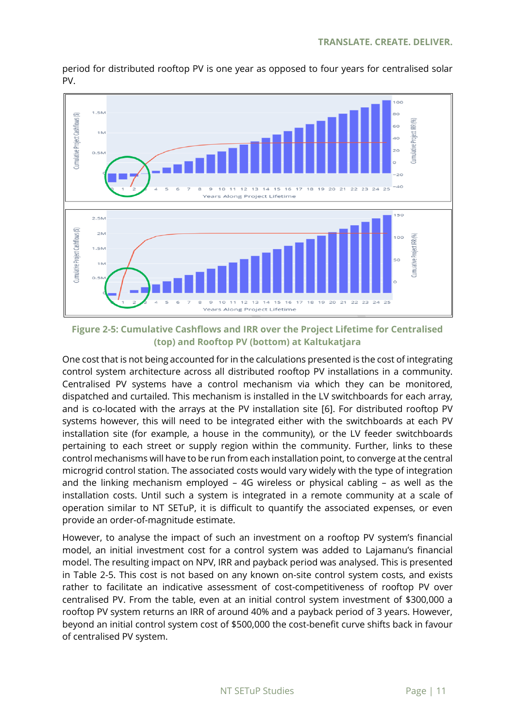

period for distributed rooftop PV is one year as opposed to four years for centralised solar PV.

<span id="page-18-0"></span>**Figure 2-5: Cumulative Cashflows and IRR over the Project Lifetime for Centralised (top) and Rooftop PV (bottom) at Kaltukatjara**

One cost that is not being accounted for in the calculations presented is the cost of integrating control system architecture across all distributed rooftop PV installations in a community. Centralised PV systems have a control mechanism via which they can be monitored, dispatched and curtailed. This mechanism is installed in the LV switchboards for each array, and is co-located with the arrays at the PV installation site [6]. For distributed rooftop PV systems however, this will need to be integrated either with the switchboards at each PV installation site (for example, a house in the community), or the LV feeder switchboards pertaining to each street or supply region within the community. Further, links to these control mechanisms will have to be run from each installation point, to converge at the central microgrid control station. The associated costs would vary widely with the type of integration and the linking mechanism employed – 4G wireless or physical cabling – as well as the installation costs. Until such a system is integrated in a remote community at a scale of operation similar to NT SETuP, it is difficult to quantify the associated expenses, or even provide an order-of-magnitude estimate.

However, to analyse the impact of such an investment on a rooftop PV system's financial model, an initial investment cost for a control system was added to Lajamanu's financial model. The resulting impact on NPV, IRR and payback period was analysed. This is presented in [Table 2-5.](#page-19-0) This cost is not based on any known on-site control system costs, and exists rather to facilitate an indicative assessment of cost-competitiveness of rooftop PV over centralised PV. From the table, even at an initial control system investment of \$300,000 a rooftop PV system returns an IRR of around 40% and a payback period of 3 years. However, beyond an initial control system cost of \$500,000 the cost-benefit curve shifts back in favour of centralised PV system.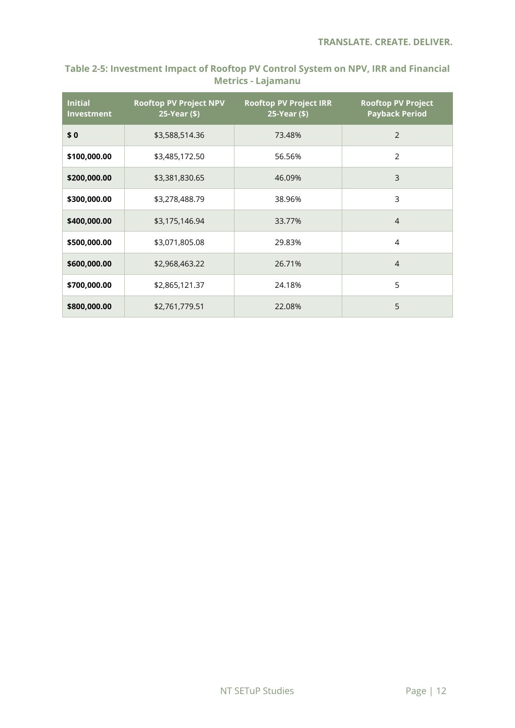## <span id="page-19-0"></span>**Table 2-5: Investment Impact of Rooftop PV Control System on NPV, IRR and Financial Metrics - Lajamanu**

| <b>Initial</b><br><b>Investment</b> | <b>Rooftop PV Project NPV</b><br>25-Year (\$) | <b>Rooftop PV Project IRR</b><br>25-Year (\$) | <b>Rooftop PV Project</b><br><b>Payback Period</b> |  |
|-------------------------------------|-----------------------------------------------|-----------------------------------------------|----------------------------------------------------|--|
| \$0                                 | \$3,588,514.36                                | 73.48%                                        | $\overline{2}$                                     |  |
| \$100,000.00                        | \$3,485,172.50                                | 56.56%                                        | 2                                                  |  |
| \$200,000.00                        | \$3,381,830.65                                | 46.09%                                        | 3                                                  |  |
| \$300,000.00                        | \$3,278,488.79                                | 38.96%                                        | 3                                                  |  |
| \$400,000.00                        | \$3,175,146.94                                | 33.77%                                        | $\overline{4}$                                     |  |
| \$500,000.00                        | \$3,071,805.08                                | 29.83%                                        | 4                                                  |  |
| \$600,000.00                        | \$2,968,463.22                                | 26.71%                                        | $\overline{4}$                                     |  |
| \$700,000.00                        | \$2,865,121.37                                | 24.18%                                        | 5                                                  |  |
| \$800,000.00                        | \$2,761,779.51                                | 22.08%                                        | 5                                                  |  |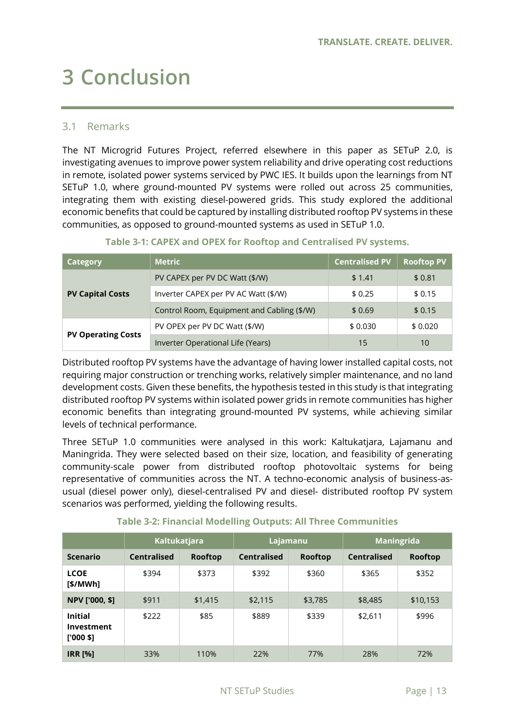# <span id="page-20-0"></span>**3 Conclusion**

### <span id="page-20-1"></span>3.1 Remarks

The NT Microgrid Futures Project, referred elsewhere in this paper as SETuP 2.0, is investigating avenues to improve power system reliability and drive operating cost reductions in remote, isolated power systems serviced by PWC IES. It builds upon the learnings from NT SETuP 1.0, where ground-mounted PV systems were rolled out across 25 communities, integrating them with existing diesel-powered grids. This study explored the additional economic benefits that could be captured by installing distributed rooftop PV systems in these communities, as opposed to ground-mounted systems as used in SETuP 1.0.

<span id="page-20-2"></span>

| Category                  | <b>Metric</b>                              | <b>Centralised PV</b> | <b>Rooftop PV</b> |
|---------------------------|--------------------------------------------|-----------------------|-------------------|
|                           | PV CAPEX per PV DC Watt (\$/W)             | \$1.41                | \$0.81            |
| <b>PV Capital Costs</b>   | Inverter CAPEX per PV AC Watt (\$/W)       | \$0.25                | \$0.15            |
|                           | Control Room, Equipment and Cabling (\$/W) | \$0.69                | \$0.15            |
| <b>PV Operating Costs</b> | PV OPEX per PV DC Watt (\$/W)              | \$0.030               | \$0.020           |
|                           | Inverter Operational Life (Years)          | 15                    | 10                |

### **Table 3-1: CAPEX and OPEX for Rooftop and Centralised PV systems.**

Distributed rooftop PV systems have the advantage of having lower installed capital costs, not requiring major construction or trenching works, relatively simpler maintenance, and no land development costs. Given these benefits, the hypothesis tested in this study is that integrating distributed rooftop PV systems within isolated power grids in remote communities has higher economic benefits than integrating ground-mounted PV systems, while achieving similar levels of technical performance.

Three SETuP 1.0 communities were analysed in this work: Kaltukatjara, Lajamanu and Maningrida. They were selected based on their size, location, and feasibility of generating community-scale power from distributed rooftop photovoltaic systems for being representative of communities across the NT. A techno-economic analysis of business-asusual (diesel power only), diesel-centralised PV and diesel- distributed rooftop PV system scenarios was performed, yielding the following results.

<span id="page-20-3"></span>

|                                            | Kaltukatjara       |                | Lajamanu           |                | <b>Maningrida</b>  |                |
|--------------------------------------------|--------------------|----------------|--------------------|----------------|--------------------|----------------|
| <b>Scenario</b>                            | <b>Centralised</b> | <b>Rooftop</b> | <b>Centralised</b> | <b>Rooftop</b> | <b>Centralised</b> | <b>Rooftop</b> |
| <b>LCOE</b><br>[\$/MWh]                    | \$394              | \$373          | \$392              | \$360          | \$365              | \$352          |
| <b>NPV ['000, \$1)</b>                     | \$911              | \$1,415        | \$2,115            | \$3,785        | \$8,485            | \$10,153       |
| <b>Initial</b><br>Investment<br>$[000$ \$] | \$222              | \$85           | \$889              | \$339          | \$2,611            | \$996          |
| <b>IRR [%]</b>                             | 33%                | 110%           | 22%                | 77%            | 28%                | 72%            |

#### **Table 3-2: Financial Modelling Outputs: All Three Communities**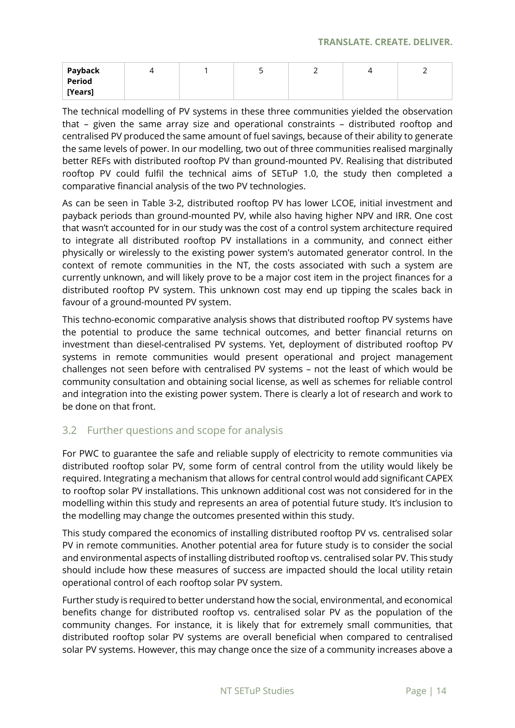| Payback       |  | ◡ | -<br><u>_</u> | - |
|---------------|--|---|---------------|---|
| <b>Period</b> |  |   |               |   |
| [Years]       |  |   |               |   |

The technical modelling of PV systems in these three communities yielded the observation that – given the same array size and operational constraints – distributed rooftop and centralised PV produced the same amount of fuel savings, because of their ability to generate the same levels of power. In our modelling, two out of three communities realised marginally better REFs with distributed rooftop PV than ground-mounted PV. Realising that distributed rooftop PV could fulfil the technical aims of SETuP 1.0, the study then completed a comparative financial analysis of the two PV technologies.

As can be seen in [Table 3-2,](#page-20-3) distributed rooftop PV has lower LCOE, initial investment and payback periods than ground-mounted PV, while also having higher NPV and IRR. One cost that wasn't accounted for in our study was the cost of a control system architecture required to integrate all distributed rooftop PV installations in a community, and connect either physically or wirelessly to the existing power system's automated generator control. In the context of remote communities in the NT, the costs associated with such a system are currently unknown, and will likely prove to be a major cost item in the project finances for a distributed rooftop PV system. This unknown cost may end up tipping the scales back in favour of a ground-mounted PV system.

This techno-economic comparative analysis shows that distributed rooftop PV systems have the potential to produce the same technical outcomes, and better financial returns on investment than diesel-centralised PV systems. Yet, deployment of distributed rooftop PV systems in remote communities would present operational and project management challenges not seen before with centralised PV systems – not the least of which would be community consultation and obtaining social license, as well as schemes for reliable control and integration into the existing power system. There is clearly a lot of research and work to be done on that front.

## <span id="page-21-0"></span>3.2 Further questions and scope for analysis

For PWC to guarantee the safe and reliable supply of electricity to remote communities via distributed rooftop solar PV, some form of central control from the utility would likely be required. Integrating a mechanism that allows for central control would add significant CAPEX to rooftop solar PV installations. This unknown additional cost was not considered for in the modelling within this study and represents an area of potential future study. It's inclusion to the modelling may change the outcomes presented within this study.

This study compared the economics of installing distributed rooftop PV vs. centralised solar PV in remote communities. Another potential area for future study is to consider the social and environmental aspects of installing distributed rooftop vs. centralised solar PV. This study should include how these measures of success are impacted should the local utility retain operational control of each rooftop solar PV system.

Further study is required to better understand how the social, environmental, and economical benefits change for distributed rooftop vs. centralised solar PV as the population of the community changes. For instance, it is likely that for extremely small communities, that distributed rooftop solar PV systems are overall beneficial when compared to centralised solar PV systems. However, this may change once the size of a community increases above a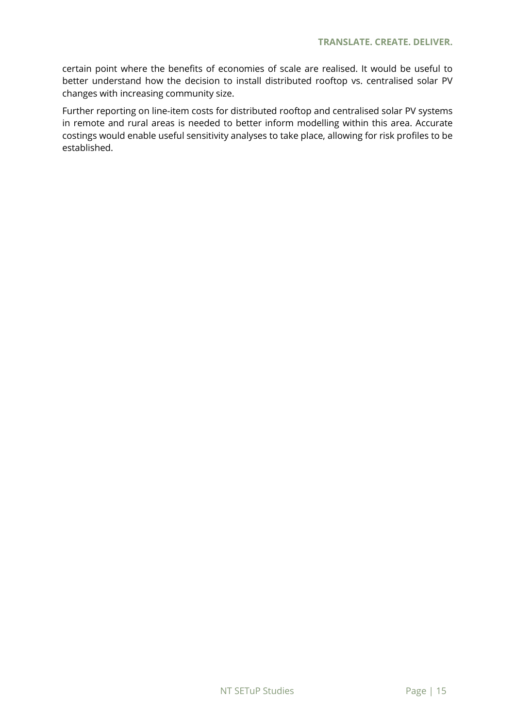certain point where the benefits of economies of scale are realised. It would be useful to better understand how the decision to install distributed rooftop vs. centralised solar PV changes with increasing community size.

Further reporting on line-item costs for distributed rooftop and centralised solar PV systems in remote and rural areas is needed to better inform modelling within this area. Accurate costings would enable useful sensitivity analyses to take place, allowing for risk profiles to be established.